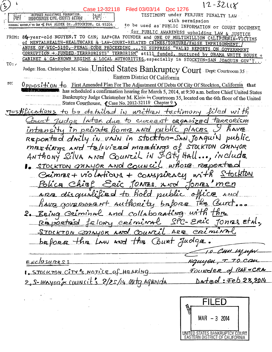$12 - 3211$  $\mathfrak{z}$ Case 12-32118 Filed 03/03/14 Doc 1276 REFUGEE ASSISTANCE FOUNDATION.<br>INDUCUINESE CIVIL RIGHTS ACTION TESTIMONY under PERJURY PENALTY LAW  $|\vec{\lambda}_0\vec{\lambda}|$  . أخزج with permission FORWERT HOUSET TO CAN WE #44 ALDER St., STOCKTON, CA 95204 to be used as PUBLIC INFORMATION or COURT DOCUMENT for PUBLIC AWARENESS upholding LAW & JUSTICE FROM: 80-year-old NGUYEN, I TO CAN, RAF+CRA FOUNDER and ONE OF MULTIMILLION CALIFORNIA-VICTIMS Of MENTALHEALTH-HEALTHCARE & LAW-COURT-RELATED CRIMES/TORTURE/FALSE IMPRISONMENT ... TO SUPPRESS "VALID REPORTS ON GOVERNMENT ABUSE OF WIC-5150, PENAL CODE PROCEEDING CORRUPTION + FUNDED TERRRORISTS' TERRORISM" still funded, nurtured by OBAMA WHITE HOUSE CABINET & CA-BROWN REGIME & LOCAL AUTHORITIES, especially in STOCKTON-SAN JOAQUIN GOV'T  $TO:$ Judge: Hon. Christopher M. Klein | United States Bankruptcy Court Dept: Courtroom 35 Eastern District Of California re:  $0$  Ppos<sup>1</sup> $+1$  on  $+0$  First Amended Plan For The Adjustment Of Debts Of City Of Stockton, California that has scheduled a confirmation hearing for March 5, 2014, at 9:30 a.m. before Chief United States Bankruptcy Judge Christopher M. Klein in Courtroom 35, located on the 6th floor of the United States Courthouse, Case No. 2012-32118 Chapter 9. to be detailed in written testimony filed with Tustilications Later due to current organized terrorism Iudae nsity in private frome and public places REPORTED drily in vain in stockton-SMN JOAquiN  $public$ mettings and talevized meetings of STOCKTON CHANYOR ANTHONY Silva and Council in S-City Hall..., include 1. STOCKTON ONNYOR AND COUNCIL whose reported Crimmes + violations + conspiracy Stockton  $n^{\sim}$ hief Eric TONES. AND TONES men ARE disquirified to hold public office And have government authority balong the Burt. and collaborating with the 2. REING CRIMINA SPC-Ereic JONES EtAl. créminil LELONU REPORTED <u>STOCKTON COOLYOK AND COUNCIL ARE</u> crimin before the Law and the Court Judge. 10 Cm ujupv.  $T$  TO CAN Ngayen, ENCLOSURES: FULLINDER of RAFOCRA 1. STOCKTON CITY & MOTICE of HEARING  $Delta+rel:$   $Feb$  28.2014  $2.5$ -Mayon's councit's  $2/25/14$  mtg agenda

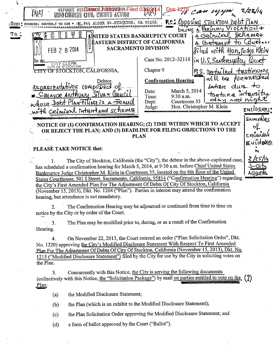|                                                                                                                                                                                                              | REFUGEE ASS GASEE LEGROAT BON Filed OSLE<br>28/14<br>ばさ<br>INDO CHINESE CIVIL RIGHTS ACTION                    |  |  |  |
|--------------------------------------------------------------------------------------------------------------------------------------------------------------------------------------------------------------|----------------------------------------------------------------------------------------------------------------|--|--|--|
|                                                                                                                                                                                                              | RE: Opposing STOCKTON DEDT PLAN<br>[IOM ] FOUNDER: NGUYEN, I TO CAN * /E, #44 ALDER St. STOCKTON, CA. 95204.   |  |  |  |
|                                                                                                                                                                                                              | bring a FERTILRY VIOLATION +                                                                                   |  |  |  |
|                                                                                                                                                                                                              | 1 Crinine Schemet<br>UNITED STATES BANKRUPTCY COURT<br>(ြို                                                    |  |  |  |
|                                                                                                                                                                                                              | ASTERN DISTRICT OF CALIFORNIA<br>(Burt<br>A Contrempo<br><b>SACRAMENTO DIVISION</b>                            |  |  |  |
|                                                                                                                                                                                                              | FEB 2 8 2014<br>filed notk Hon. Tudge KlEIN                                                                    |  |  |  |
|                                                                                                                                                                                                              | Case No. 2012-32118<br>in U.S. Bankreupt<br>lQur<br>in ne                                                      |  |  |  |
|                                                                                                                                                                                                              | CITY CLERK  <br>CITY OF STOCKTON, CALIFORNIA,<br>Chapter 9<br>tęstimony<br>P.S. DE-tailed                      |  |  |  |
|                                                                                                                                                                                                              | will be forwarded<br><b>Confirmation Hearing</b><br>Debtor.                                                    |  |  |  |
|                                                                                                                                                                                                              | O Essegunos 23VHAturassas<br>Latier dure to                                                                    |  |  |  |
|                                                                                                                                                                                                              | March 5, 2014<br>Date:<br><u>EMAYOR ANTHONY Silva &amp; Council</u><br>torture intensity<br>9:30 a.m.<br>Time: |  |  |  |
|                                                                                                                                                                                                              | day and nigh<br>Courtroom 35<br>whose Debt Plan Tilling is a Treaud<br>Dept:                                   |  |  |  |
|                                                                                                                                                                                                              | Hon. Christopher M. Klein<br>Judge:<br>ENCIDSURES<br>with criminal intrartand scheme                           |  |  |  |
|                                                                                                                                                                                                              | SAMIDES                                                                                                        |  |  |  |
| NOTICE OF (1) CONFIRMATION HEARING; (2) TIME WITHIN WHICH TO ACCEPT<br>оţ                                                                                                                                    |                                                                                                                |  |  |  |
| OR REJECT THE PLAN; AND (3) DEADLINE FOR FILING OBJECTIONS TO THE                                                                                                                                            |                                                                                                                |  |  |  |
|                                                                                                                                                                                                              | cremini<br><b>PLAN</b><br>EVIDENCE                                                                             |  |  |  |
|                                                                                                                                                                                                              | PLEASE TAKE NOTICE that:                                                                                       |  |  |  |
|                                                                                                                                                                                                              | 'n۸                                                                                                            |  |  |  |
| 2/25/14<br>The City of Stockton, California (the "City"), the debtor in the above-captioned case,                                                                                                            |                                                                                                                |  |  |  |
| has scheduled a confirmation hearing for March 5, 2014, at 9:30 a.m. before Chief United States<br>S-Citv                                                                                                    |                                                                                                                |  |  |  |
| Bankruptcy Judge Christopher M. Klein in Courtroom 35, located on the 6th floor of the United<br>AGBIOL<br>States Courthouse, 501 I Street, Sacramento, California, 95814 ("Confirmation Hearing") regarding |                                                                                                                |  |  |  |
| the City's First Amended Plan For The Adjustment Of Debts Of City Of Stockton, California                                                                                                                    |                                                                                                                |  |  |  |
| (November 15, 2013), Dkt. No. 1204 ("Plan"). Parties in interest may attend the confirmation                                                                                                                 |                                                                                                                |  |  |  |
|                                                                                                                                                                                                              | hearing, but attendance is not mandatory.                                                                      |  |  |  |
|                                                                                                                                                                                                              | The Confirmation Hearing may be adjourned or continued from time to time on                                    |  |  |  |
| notice by the City or by order of the Court.                                                                                                                                                                 |                                                                                                                |  |  |  |

The Plan may be modified prior to, during, or as a result of the Confirmation  $\omega$  is  $\omega$  $3.$ • Hearing.

On November 22, 2013, the Court entered an order ("Plan Solicitation Order", Dkt.  $\overline{4}$ . No. 1220) approving the City's Modified Disclosure Statement With Respect To First Amended Plan For The Adjustment Of Debts Of City Of Stockton, California (November 15, 2013), Dkt. No. 1215 ("Modified Disclosure Statement") filed by the City for use by the City in soliciting votes on the Plan.

Concurrently with this Notice, the City is serving the following documents 5. (collectively with this Notice, the "Solicitation Package") by mail on parties entitled to vote on the  $(2)$ Plan:

the Modified Disclosure Statement;  $(a)$ 

the Plan (which is an exhibit to the Modified Disclosure Statement);  $(b)$ 

the Plan Solicitation Order approving the Modified Disclosure Statement; and  $(c)$ 

a form of ballot approved by the Court ("Ballot").  $(d)$